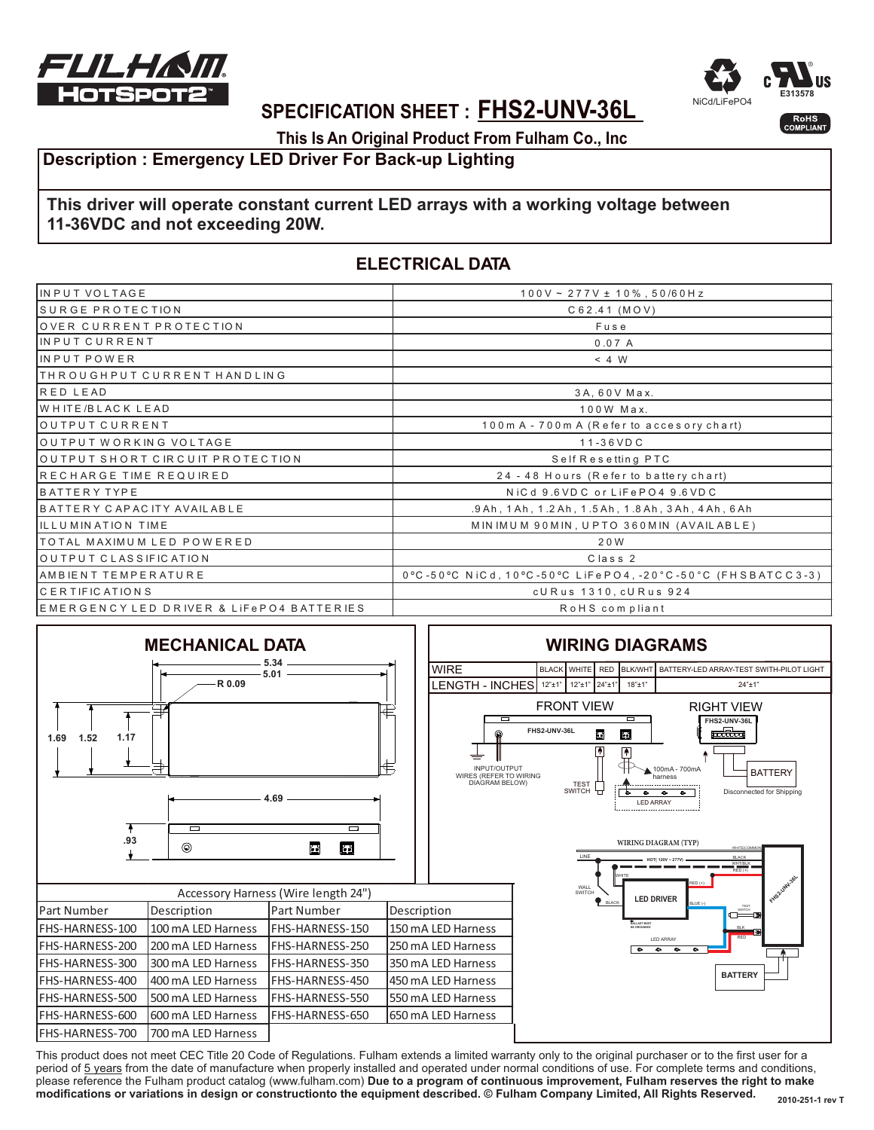



### **SPECIFICATION SHEET : FHS2-UNV-36L**

**This Is An Original Product From Fulham Co., Inc**

### **Description : Emergency LED Driver For Back-up Lighting**

### **This driver will operate constant current LED arrays with a working voltage between 11-36VDC and not exceeding 20W.**

### **ELECTRICAL DATA**

| IIN PUT VOLTAGE                         | $100V \sim 277V \pm 10\%$ , 50/60Hz                                     |  |
|-----------------------------------------|-------------------------------------------------------------------------|--|
| SURGE PROTECTION                        | C62.41 (MOV)                                                            |  |
| OVER CURRENT PROTECTION                 | Fuse                                                                    |  |
| INPUT CURRENT                           | 0.07A                                                                   |  |
| <b>I</b> IN PUT POWER                   | < 4 W                                                                   |  |
| THROUGHPUT CURRENT HANDLING             |                                                                         |  |
| RED LEAD                                | $3A, 60V$ Max.                                                          |  |
| <b>WHITE/BLACK LEAD</b>                 | 100W Max.                                                               |  |
| OUTPUT CURRENT                          | 100m A - 700m A (Refer to accesory chart)                               |  |
| OUTPUT WORKING VOLTAGE                  | $11 - 36 VDC$                                                           |  |
| OUTPUT SHORT CIRCUIT PROTECTION         | Self Resetting PTC                                                      |  |
| RECHARGE TIME REQUIRED                  | 24 - 48 Hours (Refer to battery chart)                                  |  |
| <b>BATTERY TYPE</b>                     | NiCd 9.6VDC or LiFePO4 9.6VDC                                           |  |
| BATTERY CAPACITY AVAILABLE              | .9 Ah, 1 Ah, 1 .2 Ah, 1 .5 Ah, 1 .8 Ah, 3 Ah, 4 Ah, 6 Ah                |  |
| ILLUMINATION TIME                       | MINIMUM 90MIN, UPTO 360MIN (AVAILABLE)                                  |  |
| TOTAL MAXIMUM LED POWERED               | 20W                                                                     |  |
| OUTPUT CLASSIFICATION                   | Class <sub>2</sub>                                                      |  |
| AMBIENT TEMPERATURE                     | $0^{\circ}$ C -50°C NiCd, 10°C -50°C LiFePO4, -20°C -50°C (FHSBATCC3-3) |  |
| ICERTIFICATIONS                         | cURus 1310, cURus 924                                                   |  |
| EMERGENCYLED DRIVER & LIFePO4 BATTERIES | RoHS compliant                                                          |  |

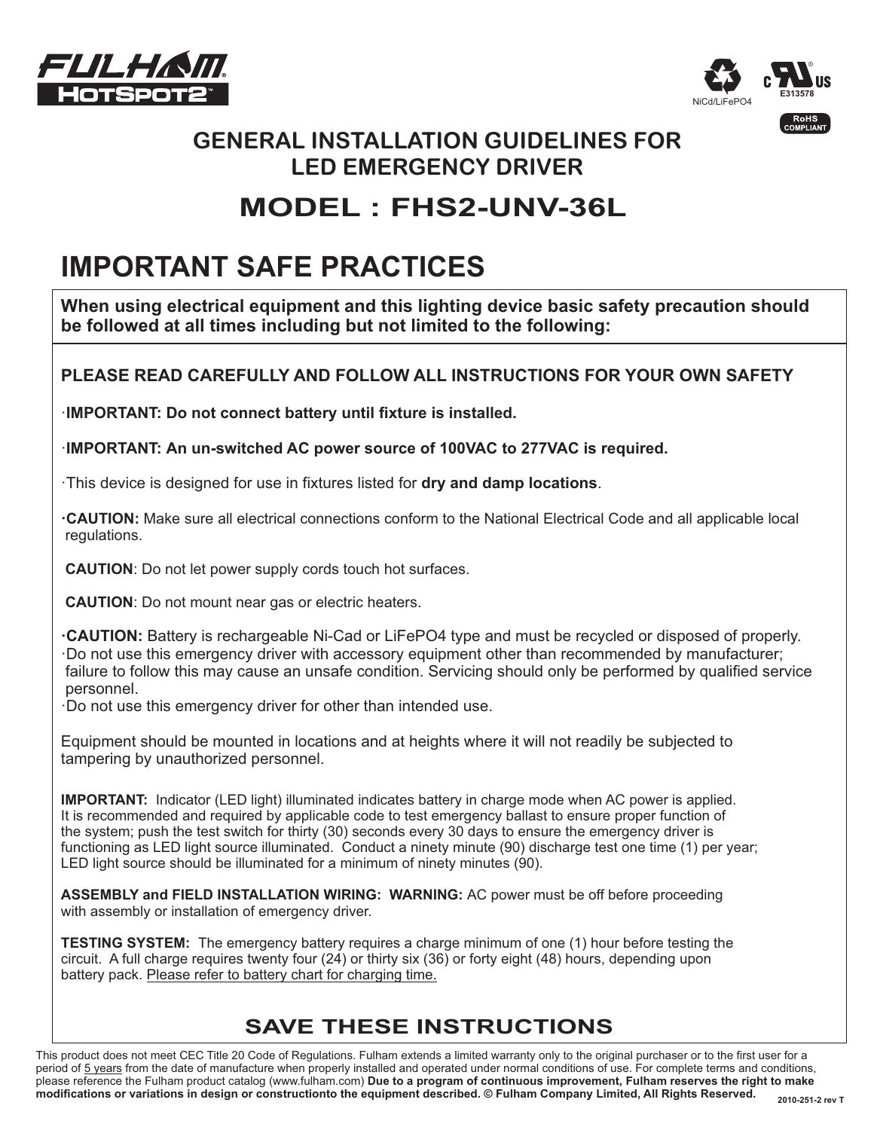



### **GENERAL INSTALLATION GUIDELINES FOR LED EMERGENCY DRIVER**

# **MODEL : FHS2-UNV-36L**

# **IMPORTANT SAFE PRACTICES**

**When using electrical equipment and this lighting device basic safety precaution should be followed at all times including but not limited to the following:**

### **PLEASE READ CAREFULLY AND FOLLOW ALL INSTRUCTIONS FOR YOUR OWN SAFETY**

·**IMPORTANT: Do not connect battery until fixture is installed.**

·**IMPORTANT: An un-switched AC power source of 100VAC to 277VAC is required.**

 $\cdot$ This device is designed for use in fixtures listed for **dry and damp locations**.

**·CAUTION:** Make sure all electrical connections conform to the National Electrical Code and all applicable local regulations.

**CAUTION**: Do not let power supply cords touch hot surfaces.

**CAUTION**: Do not mount near gas or electric heaters.

**·CAUTION:** Battery is rechargeable Ni-Cad or LiFePO4 type and must be recycled or disposed of properly. ·Do not use this emergency driver with accessory equipment other than recommended by manufacturer; failure to follow this may cause an unsafe condition. Servicing should only be performed by qualified service personnel.

·Do not use this emergency driver for other than intended use.

Equipment should be mounted in locations and at heights where it will not readily be subjected to tampering by unauthorized personnel.

**IMPORTANT:** Indicator (LED light) illuminated indicates battery in charge mode when AC power is applied. It is recommended and required by applicable code to test emergency ballast to ensure proper function of the system; push the test switch for thirty (30) seconds every 30 days to ensure the emergency driver is functioning as LED light source illuminated. Conduct a ninety minute (90) discharge test one time (1) per year; LED light source should be illuminated for a minimum of ninety minutes (90).

**ASSEMBLY and FIELD INSTALLATION WIRING: WARNING:** AC power must be off before proceeding with assembly or installation of emergency driver.

**TESTING SYSTEM:** The emergency battery requires a charge minimum of one (1) hour before testing the circuit. A full charge requires twenty four (24) or thirty six (36) or forty eight (48) hours, depending upon battery pack. Please refer to battery chart for charging time.

### **SAVE THESE INSTRUCTIONS**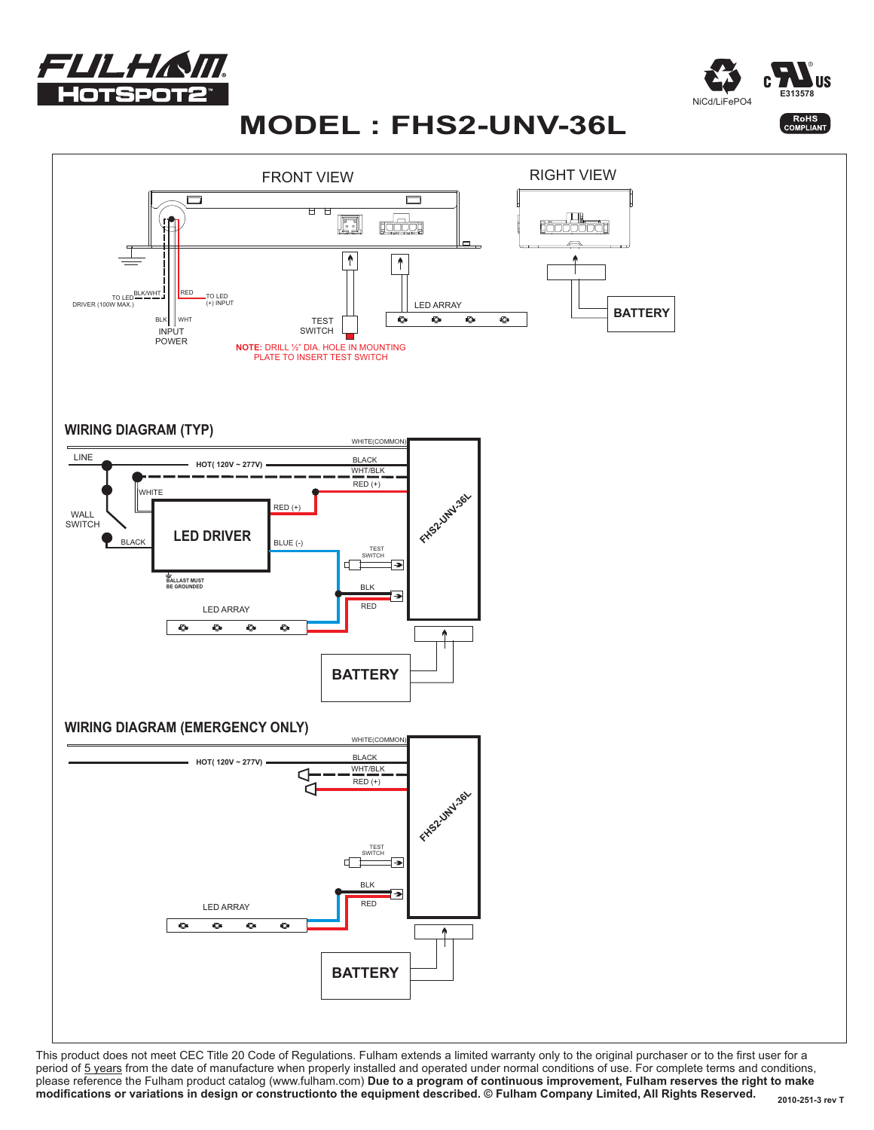



# **MODEL : FHS2-UNV-36L**

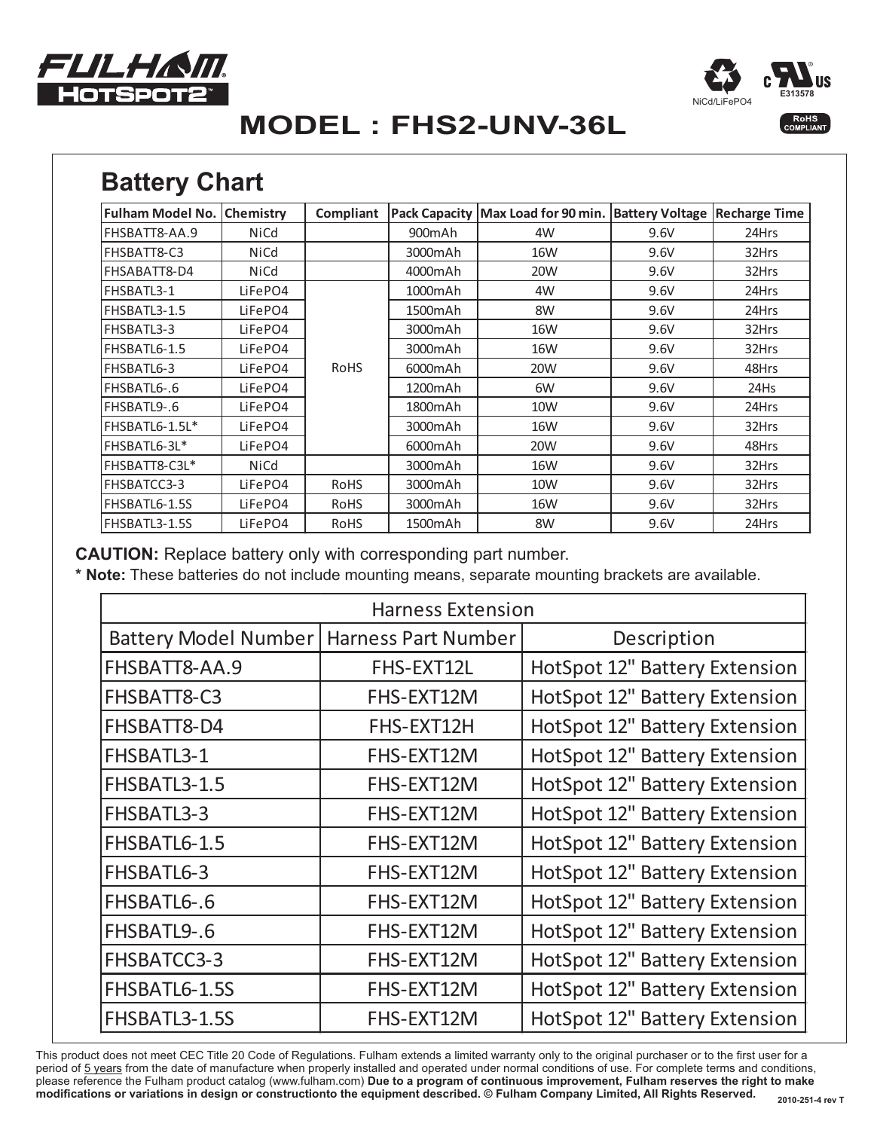



# **MODEL : FHS2-UNV-36L**

# **Battery Chart**

| <b>Fulham Model No.</b> | <b>Chemistry</b> | Compliant   |                      | Pack Capacity   Max Load for 90 min.   Battery Voltage |      | <b>Recharge Time</b> |
|-------------------------|------------------|-------------|----------------------|--------------------------------------------------------|------|----------------------|
| FHSBATT8-AA.9           | NiCd             |             | 900mAh               | 4W                                                     | 9.6V | 24Hrs                |
| FHSBATT8-C3             | NiCd             |             | 3000mAh              | <b>16W</b>                                             | 9.6V | 32Hrs                |
| FHSABATT8-D4            | NiCd             |             | 4000mAh              | 20W                                                    | 9.6V | 32Hrs                |
| FHSBATL3-1              | LiFePO4          |             | 1000mAh              | 4W                                                     | 9.6V | 24Hrs                |
| FHSBATL3-1.5            | LiFePO4          |             | 1500mAh              | 8W                                                     | 9.6V | 24Hrs                |
| FHSBATL3-3              | LiFePO4          |             | 3000mAh              | 16W                                                    | 9.6V | 32Hrs                |
| FHSBATL6-1.5            | LiFePO4          |             | 3000mAh              | 16W                                                    | 9.6V | 32Hrs                |
| FHSBATL6-3              | LiFePO4          | <b>RoHS</b> | 6000mAh              | 20W                                                    | 9.6V | 48Hrs                |
| FHSBATL6-.6             | LiFePO4          |             | 1200mAh              | 6W                                                     | 9.6V | 24Hs                 |
| FHSBATL9-.6             | LiFePO4          |             | 1800mAh              | 10W                                                    | 9.6V | 24Hrs                |
| FHSBATL6-1.5L*          | LiFePO4          |             | 3000mAh              | 16W                                                    | 9.6V | 32Hrs                |
| FHSBATL6-3L*            | LiFePO4          |             | 6000mAh              | 20W                                                    | 9.6V | 48Hrs                |
| FHSBATT8-C3L*           | <b>NiCd</b>      |             | 3000mAh              | <b>16W</b>                                             | 9.6V | 32Hrs                |
| FHSBATCC3-3             | LiFePO4          | <b>RoHS</b> | 3000mAh              | 10W                                                    | 9.6V | 32Hrs                |
| FHSBATL6-1.5S           | LiFePO4          | <b>RoHS</b> | 3000mAh              | 16W                                                    | 9.6V | 32Hrs                |
| FHSBATL3-1.5S           | LiFePO4          | RoHS        | 1500 <sub>m</sub> Ah | 8W                                                     | 9.6V | 24Hrs                |

**CAUTION:** Replace battery only with corresponding part number.

**\* Note:** These batteries do not include mounting means, separate mounting brackets are available.

| <b>Harness Extension</b>    |                            |                                      |  |  |
|-----------------------------|----------------------------|--------------------------------------|--|--|
| <b>Battery Model Number</b> | <b>Harness Part Number</b> | Description                          |  |  |
| FHSBATT8-AA.9               | FHS-EXT12L                 | <b>HotSpot 12" Battery Extension</b> |  |  |
| FHSBATT8-C3                 | FHS-EXT12M                 | <b>HotSpot 12" Battery Extension</b> |  |  |
| FHSBATT8-D4                 | FHS-EXT12H                 | <b>HotSpot 12" Battery Extension</b> |  |  |
| FHSBATL3-1                  | FHS-EXT12M                 | <b>HotSpot 12" Battery Extension</b> |  |  |
| FHSBATL3-1.5                | FHS-EXT12M                 | <b>HotSpot 12" Battery Extension</b> |  |  |
| FHSBATL3-3                  | FHS-EXT12M                 | <b>HotSpot 12" Battery Extension</b> |  |  |
| FHSBATL6-1.5                | FHS-EXT12M                 | <b>HotSpot 12" Battery Extension</b> |  |  |
| FHSBATL6-3                  | FHS-EXT12M                 | <b>HotSpot 12" Battery Extension</b> |  |  |
| FHSBATL6-.6                 | FHS-EXT12M                 | <b>HotSpot 12" Battery Extension</b> |  |  |
| FHSBATL9-.6                 | FHS-EXT12M                 | <b>HotSpot 12" Battery Extension</b> |  |  |
| FHSBATCC3-3                 | FHS-EXT12M                 | <b>HotSpot 12" Battery Extension</b> |  |  |
| FHSBATL6-1.5S               | FHS-EXT12M                 | HotSpot 12" Battery Extension        |  |  |
| FHSBATL3-1.5S               | FHS-EXT12M                 | HotSpot 12" Battery Extension        |  |  |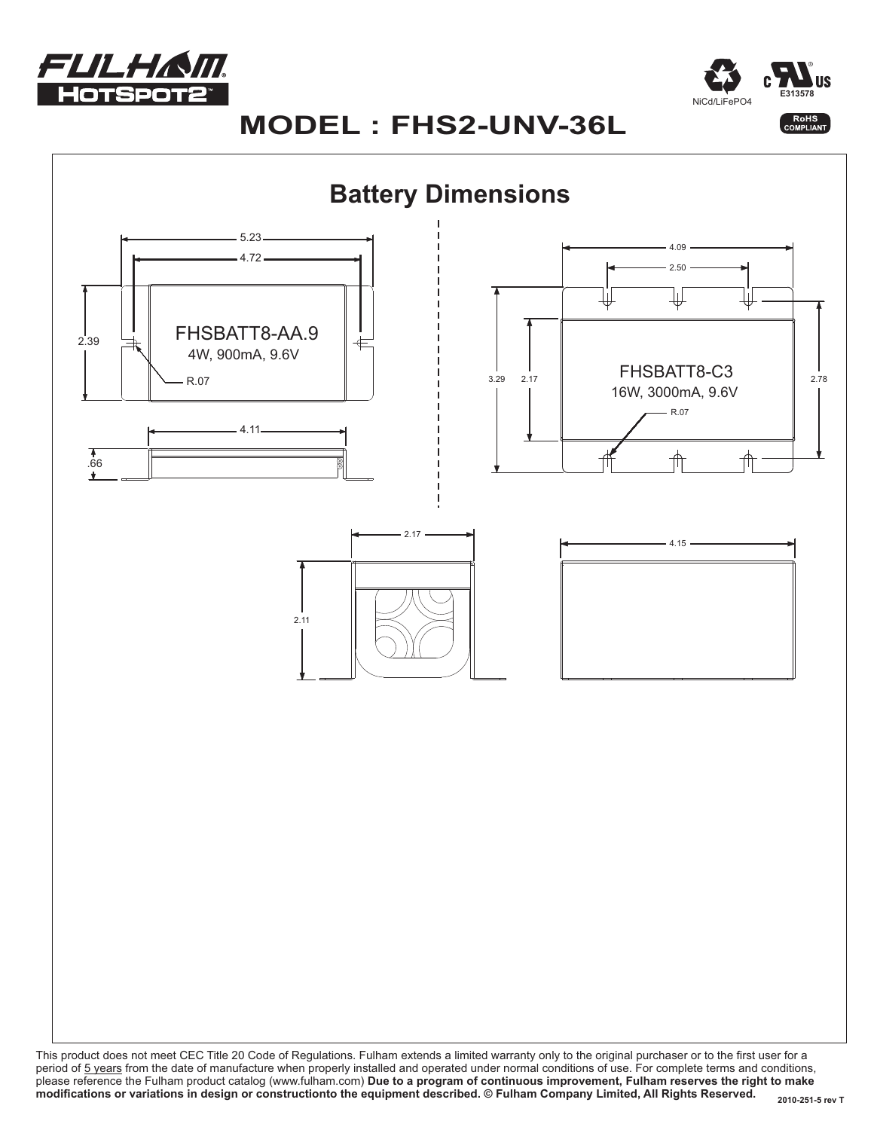



### **MODEL : FHS2-UNV-36L**

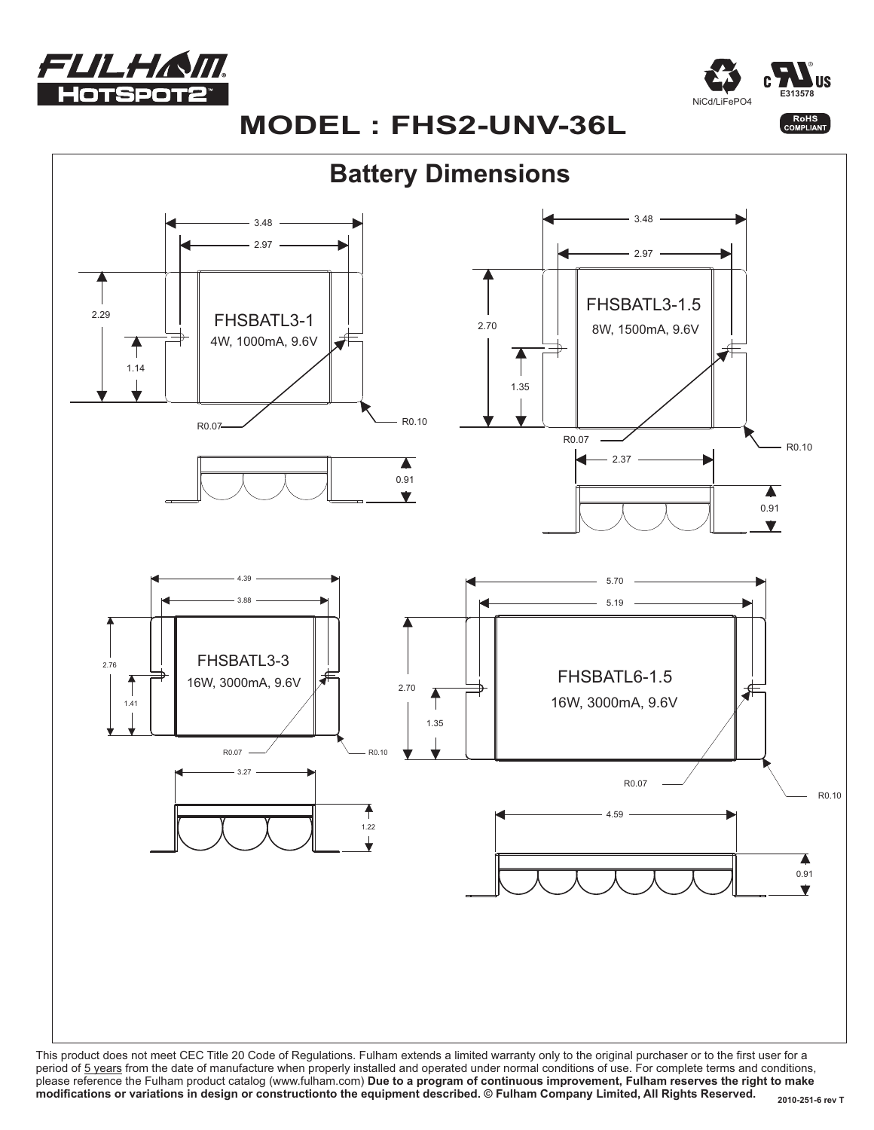



# **MODEL : FHS2-UNV-36L**



period of 5 years from the date of manufacture when properly installed and operated under normal conditions of use. For complete terms and conditions, please reference the Fulham product catalog (www.fulham.com) **Due to a program of continuous improvement, Fulham reserves the right to make modifications or variations in design or constructionto the equipment described. © Fulham Company Limited, All Rights Reserved.**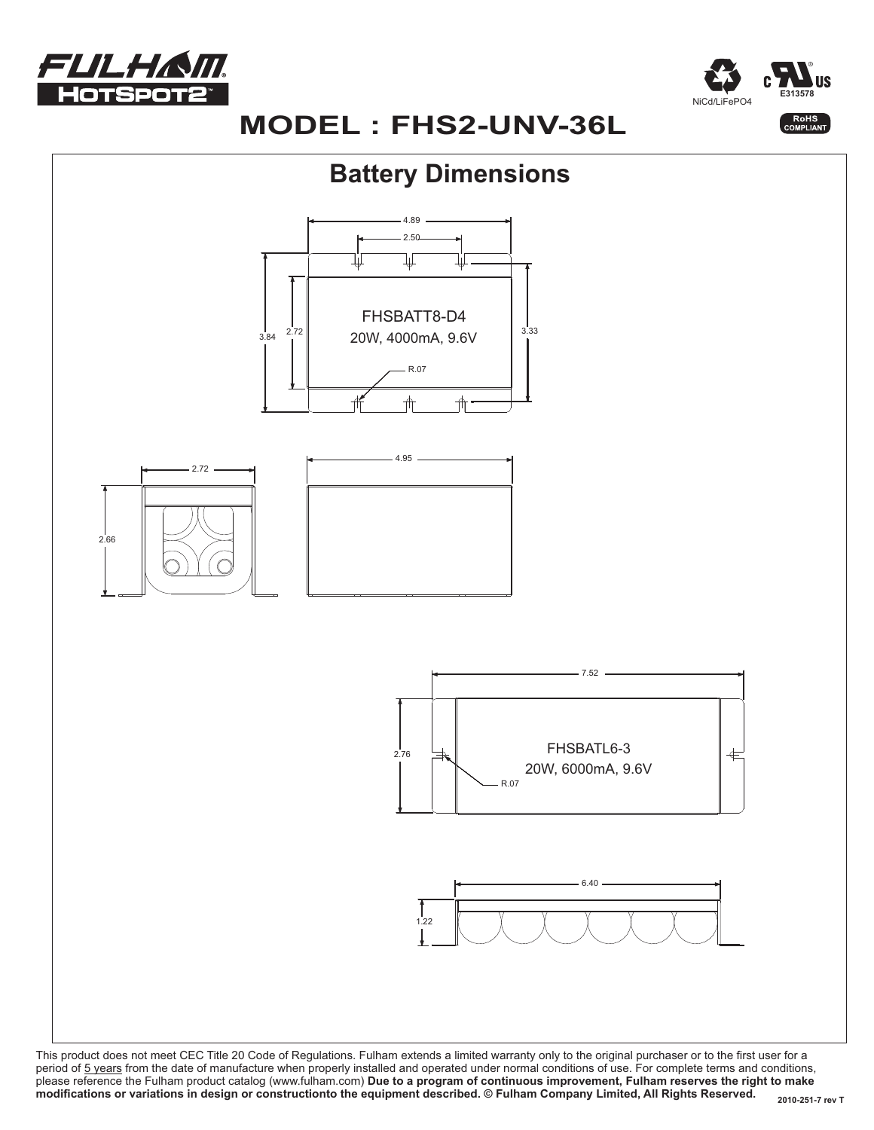



# **MODEL : FHS2-UNV-36L**

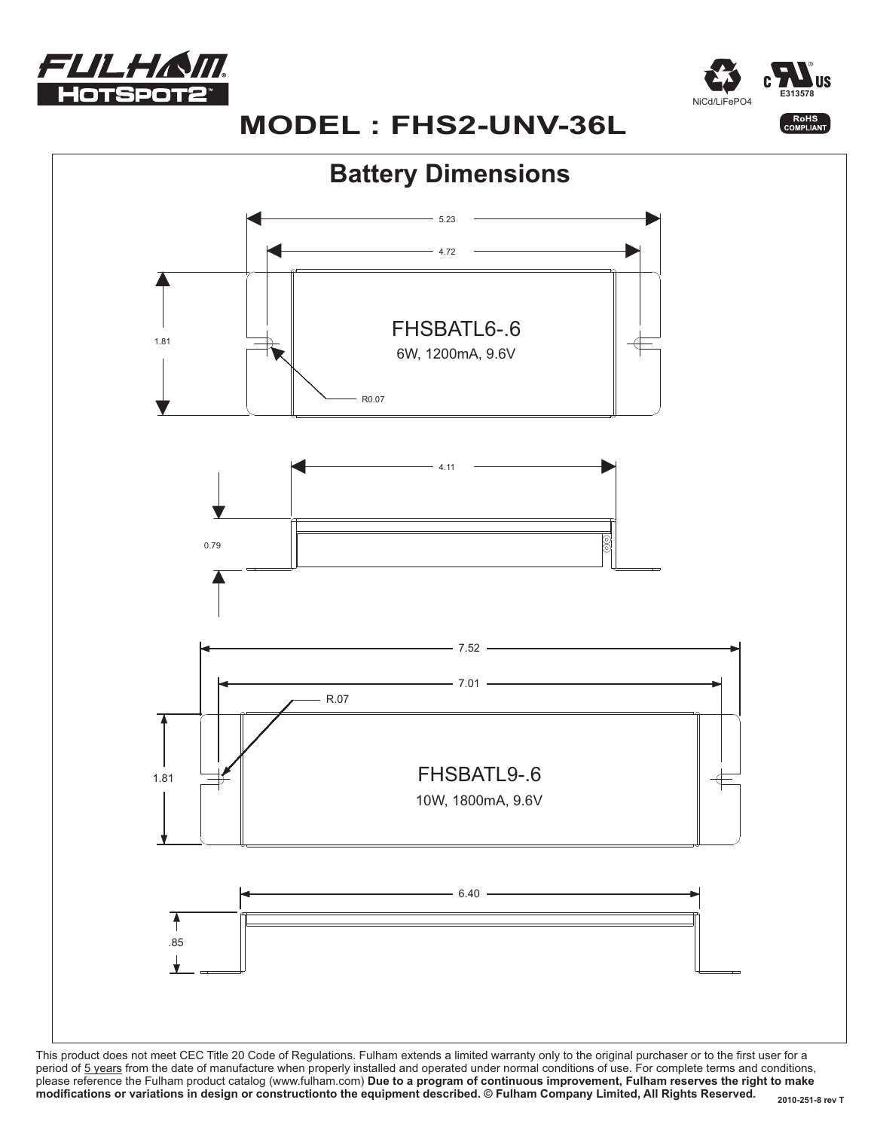



# **MODEL : FHS2-UNV-36L**

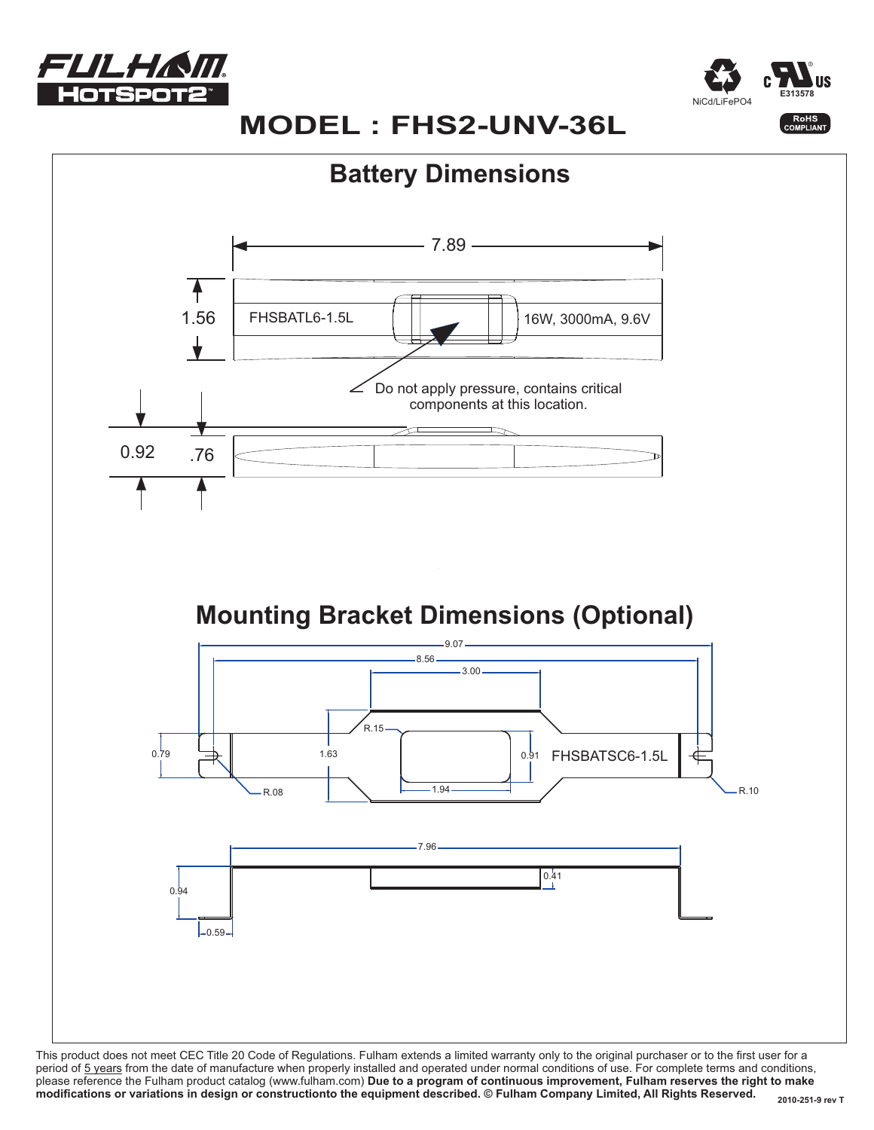



# **MODEL : FHS2-UNV-36L**

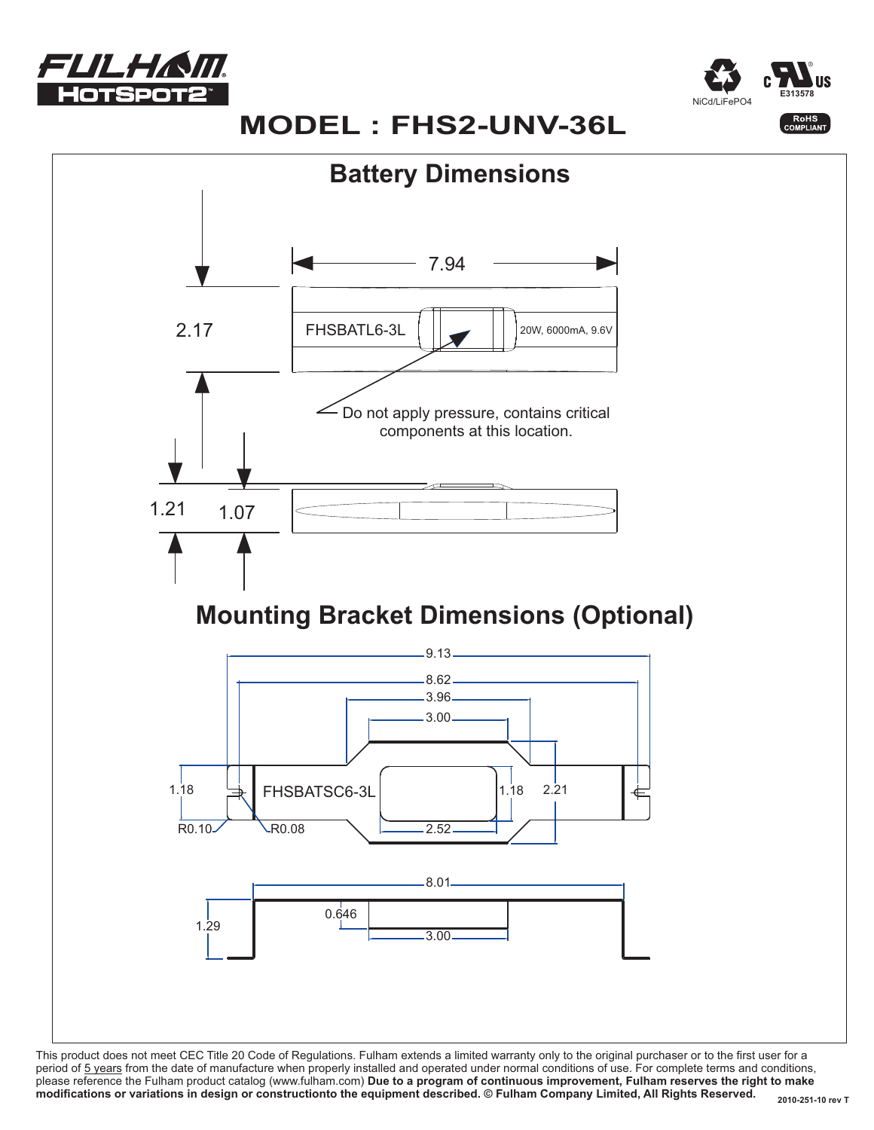



# **MODEL : FHS2-UNV-36L**

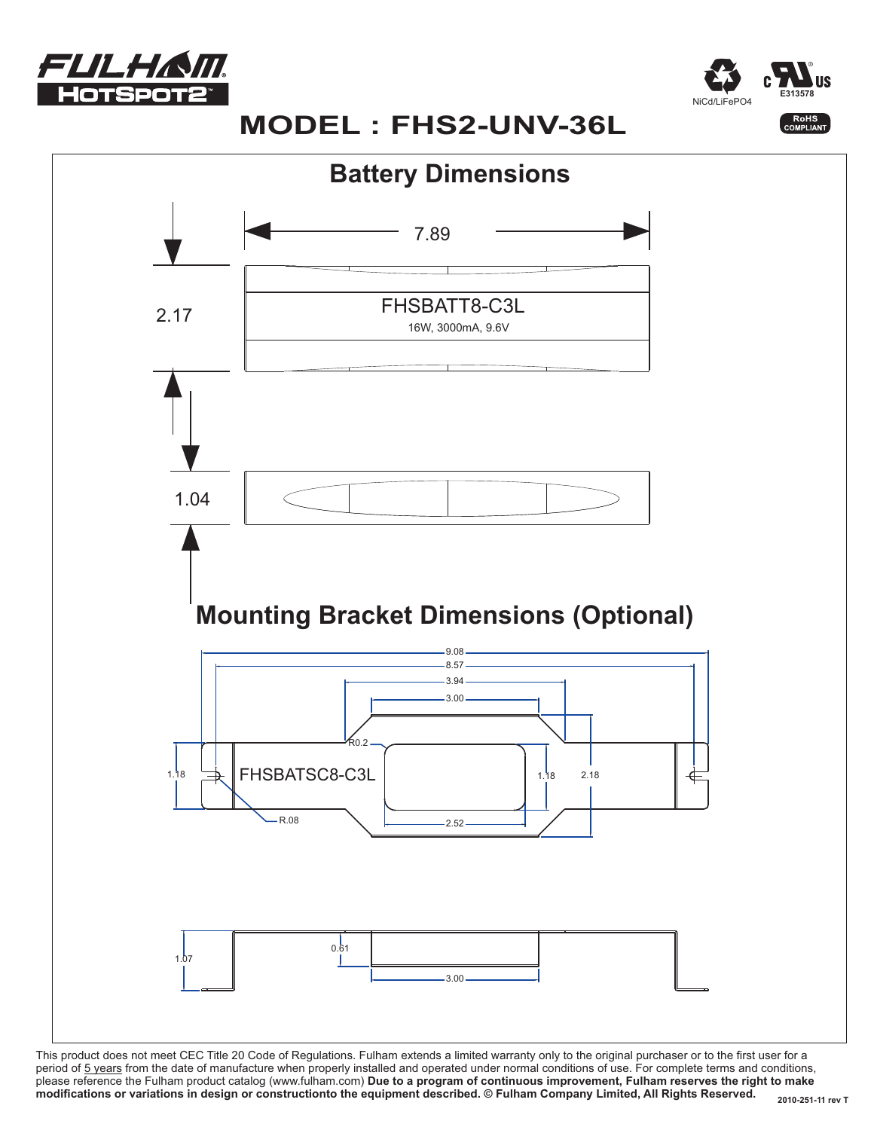



# **MODEL : FHS2-UNV-36L**

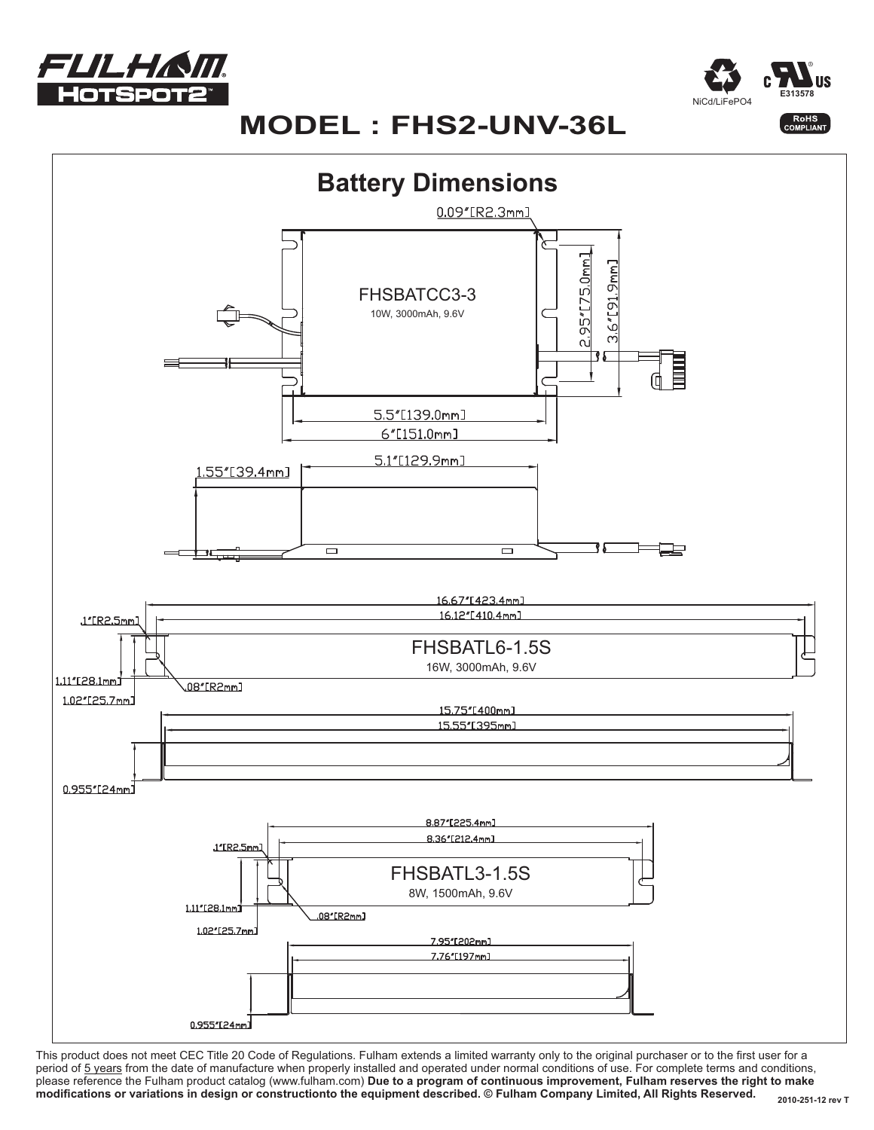



# $MODEL: FHS2-UNV-36L$

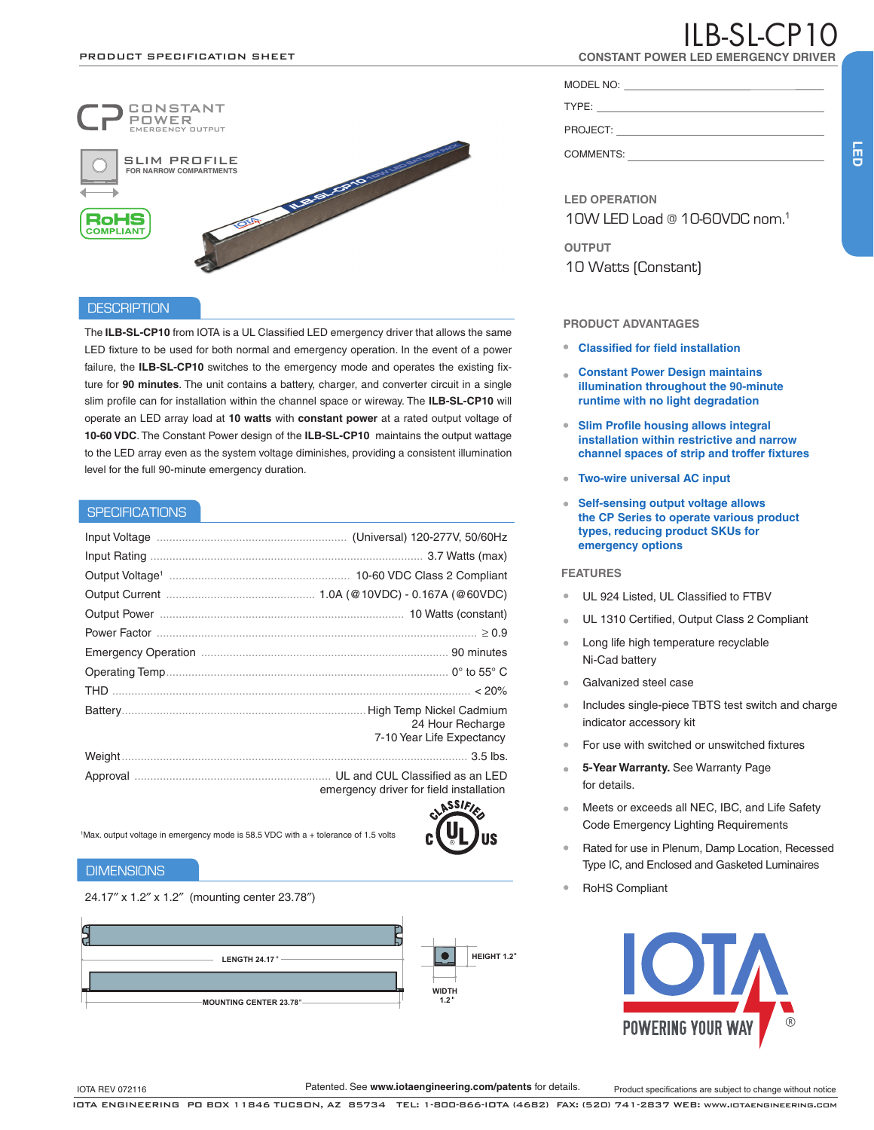

#### **DESCRIPTION**

The **ILB-SL-CP10** from IOTA is a UL Classified LED emergency driver that allows the same LED fixture to be used for both normal and emergency operation. In the event of a power failure, the **ILB-SL-CP10** switches to the emergency mode and operates the existing fixture for **90 minutes**. The unit contains a battery, charger, and converter circuit in a single slim profile can for installation within the channel space or wireway. The **ILB-SL-CP10** will operate an LED array load at **10 watts** with **constant power** at a rated output voltage of **10-60 VDC**. The Constant Power design of the **ILB-SL-CP10** maintains the output wattage to the LED array even as the system voltage diminishes, providing a consistent illumination level for the full 90-minute emergency duration.

#### **SPECIFICATIONS**

| High Temp Nickel Cadmium<br>24 Hour Recharge |
|----------------------------------------------|
| 7-10 Year Life Expectancy                    |
|                                              |
|                                              |

emergency driver for field installation



1 Max. output voltage in emergency mode is 58.5 VDC with a + tolerance of 1.5 volts

#### **DIMENSIONS**

24.17″ x 1.2″ x 1.2″ (mounting center 23.78″)



# $IIB.SLCP1$

**CONSTANT POWER LED EMERGENCY DRIV** 

MODEL NO: TYPE:

PROJECT: COMMENTS:

**LED OPERATION** 10W LED Load @ 10-60VDC nom.1

**OUTPUT** 10 Watts (Constant)

#### **PRODUCT ADVANTAGES**

- **Classified for field installation**
- **Constant Power Design maintains illumination throughout the 90-minute runtime with no light degradation**
- **Slim Profile housing allows integral installation within restrictive and narrow channel spaces of strip and troffer fixtures**
- **Two-wire universal AC input**
- **Self-sensing output voltage allows the CP Series to operate various product types, reducing product SKUs for emergency options**

#### **FEATURES**

- UL 924 Listed, UL Classified to FTBV
- UL 1310 Certified, Output Class 2 Compliant
- Long life high temperature recyclable Ni-Cad battery
- Galvanized steel case
- Includes single-piece TBTS test switch and charge indicator accessory kit
- For use with switched or unswitched fixtures
- **5-Year Warranty.** See Warranty Page for details.
- Meets or exceeds all NEC, IBC, and Life Safety  $\alpha$ Code Emergency Lighting Requirements
- Rated for use in Plenum, Damp Location, Recessed Type IC, and Enclosed and Gasketed Luminaires
- RoHS Compliant



Patented. See **www.iotaengineering.com/patents** for details.

**LED**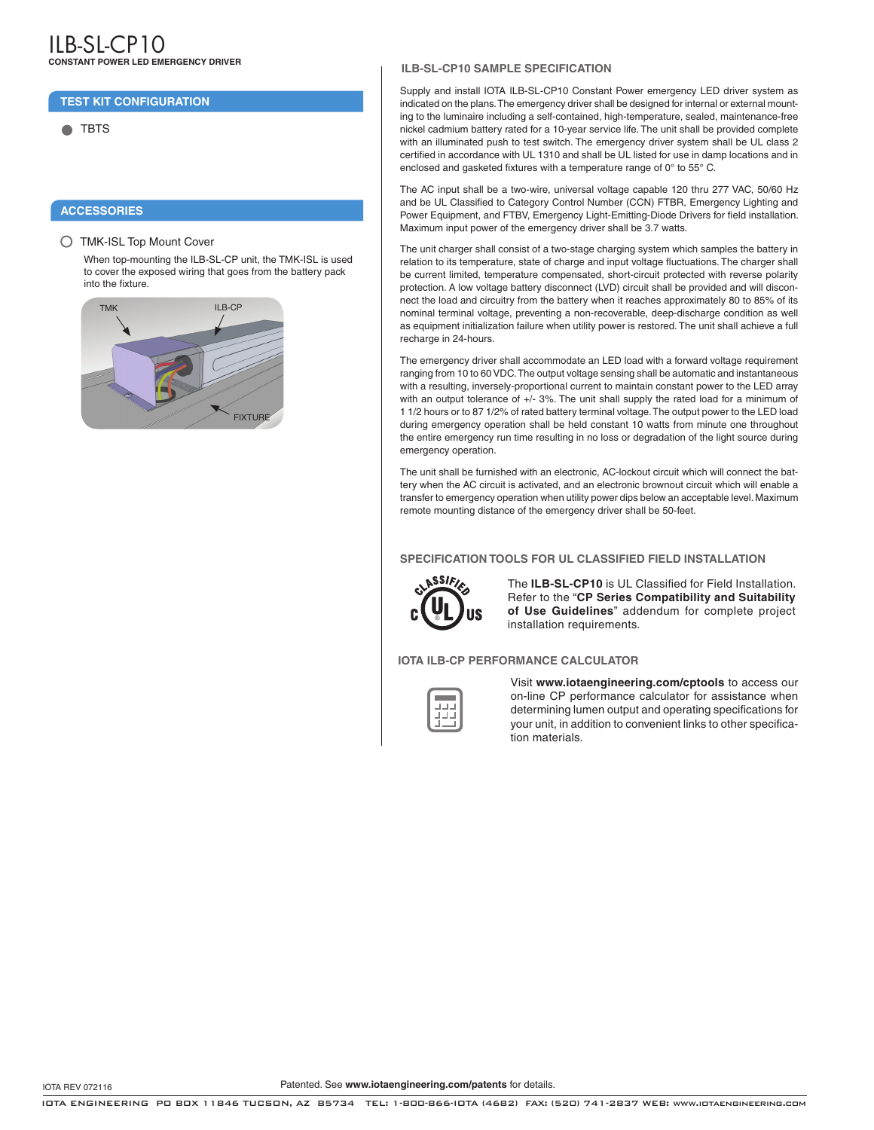#### **TEST KIT CONFIGURATION**

**C** TBTS

#### **ACCESSORIES**

TMK-ISL Top Mount Cover

When top-mounting the ILB-SL-CP unit, the TMK-ISL is used to cover the exposed wiring that goes from the battery pack into the fixture.



#### **ILB-SL-CP10 SAMPLE SPECIFICATION**

Supply and install IOTA ILB-SL-CP10 Constant Power emergency LED driver system as indicated on the plans. The emergency driver shall be designed for internal or external mounting to the luminaire including a self-contained, high-temperature, sealed, maintenance-free nickel cadmium battery rated for a 10-year service life. The unit shall be provided complete with an illuminated push to test switch. The emergency driver system shall be UL class 2 certified in accordance with UL 1310 and shall be UL listed for use in damp locations and in enclosed and gasketed fixtures with a temperature range of 0° to 55° C.

The AC input shall be a two-wire, universal voltage capable 120 thru 277 VAC, 50/60 Hz and be UL Classified to Category Control Number (CCN) FTBR, Emergency Lighting and Power Equipment, and FTBV, Emergency Light-Emitting-Diode Drivers for field installation. Maximum input power of the emergency driver shall be 3.7 watts.

The unit charger shall consist of a two-stage charging system which samples the battery in relation to its temperature, state of charge and input voltage fluctuations. The charger shall be current limited, temperature compensated, short-circuit protected with reverse polarity protection. A low voltage battery disconnect (LVD) circuit shall be provided and will disconnect the load and circuitry from the battery when it reaches approximately 80 to 85% of its nominal terminal voltage, preventing a non-recoverable, deep-discharge condition as well as equipment initialization failure when utility power is restored. The unit shall achieve a full recharge in 24-hours.

The emergency driver shall accommodate an LED load with a forward voltage requirement ranging from 10 to 60 VDC. The output voltage sensing shall be automatic and instantaneous with a resulting, inversely-proportional current to maintain constant power to the LED array with an output tolerance of +/- 3%. The unit shall supply the rated load for a minimum of 1 1/2 hours or to 87 1/2% of rated battery terminal voltage. The output power to the LED load during emergency operation shall be held constant 10 watts from minute one throughout the entire emergency run time resulting in no loss or degradation of the light source during emergency operation.

The unit shall be furnished with an electronic, AC-lockout circuit which will connect the battery when the AC circuit is activated, and an electronic brownout circuit which will enable a transfer to emergency operation when utility power dips below an acceptable level. Maximum remote mounting distance of the emergency driver shall be 50-feet.

#### **SPECIFICATION TOOLS FOR UL CLASSIFIED FIELD INSTALLATION**



The **ILB-SL-CP10** is UL Classified for Field Installation. Refer to the "**CP Series Compatibility and Suitability of Use Guidelines**" addendum for complete project installation requirements.

**IOTA ILB-CP PERFORMANCE CALCULATOR**

Visit **www.iotaengineering.com/cptools** to access our on-line CP performance calculator for assistance when determining lumen output and operating specifications for your unit, in addition to convenient links to other specification materials.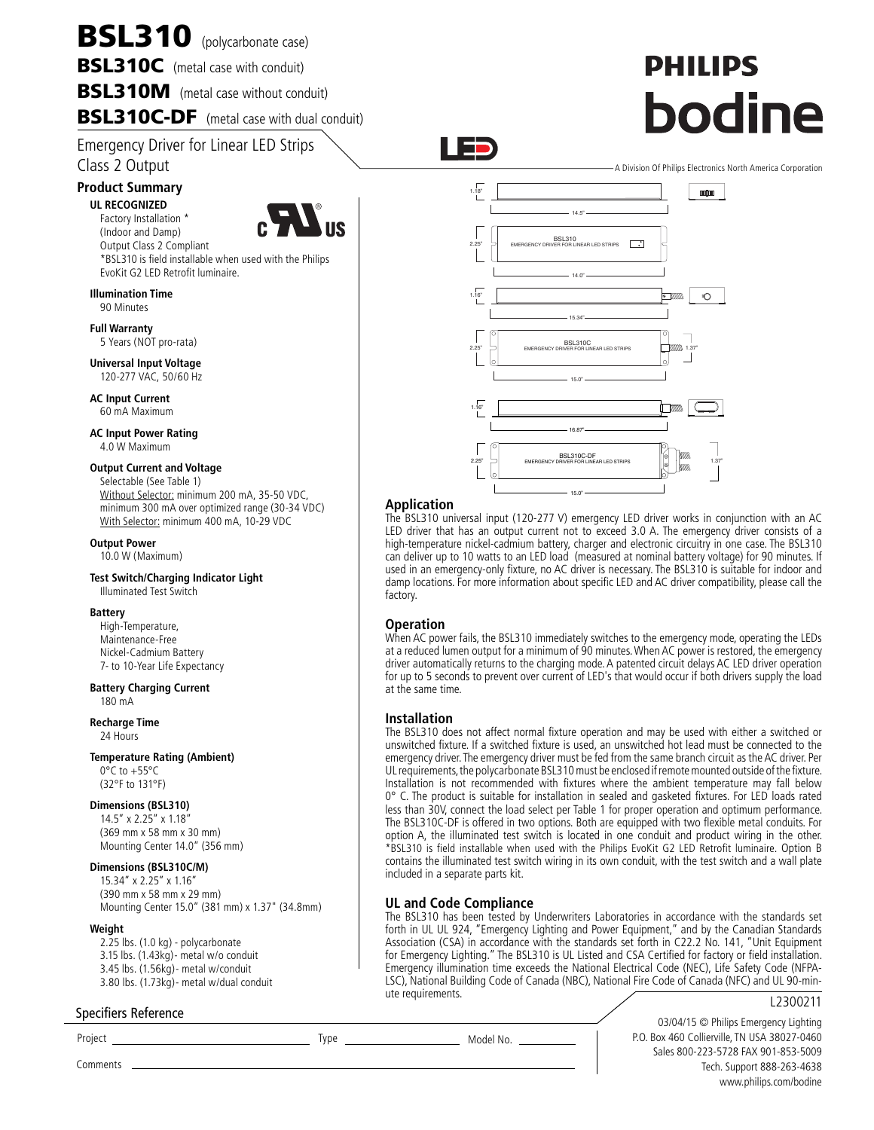# BSL310 (polycarbonate case)

**BSL310C** (metal case with conduit)

**BSL310M** (metal case without conduit)

BSL310C-DF (metal case with dual conduit)

Emergency Driver for Linear LED Strips Class 2 Output

### **Product Summary**

**UL RECOGNIZED** Factory Installation \* (Indoor and Damp)



Output Class 2 Compliant \*BSL310 is field installable when used with the Philips EvoKit G2 LED Retrofit luminaire.

#### **Illumination Time**

90 Minutes

**Full Warranty** 5 Years (NOT pro-rata)

**Universal Input Voltage** 120-277 VAC, 50/60 Hz

**AC Input Current** 60 mA Maximum

**AC Input Power Rating** 4.0 W Maximum

#### **Output Current and Voltage**

Selectable (See Table 1) Without Selector: minimum 200 mA, 35-50 VDC, minimum 300 mA over optimized range (30-34 VDC) With Selector: minimum 400 mA, 10-29 VDC

#### **Output Power**

10.0 W (Maximum)

#### **Test Switch/Charging Indicator Light** Illuminated Test Switch

#### **Battery**

High-Temperature, Maintenance-Free Nickel-Cadmium Battery 7- to 10-Year Life Expectancy

### **Battery Charging Current**

180 mA

**Recharge Time** 24 Hours

#### **Temperature Rating (Ambient)**

0°C to +55°C (32°F to 131°F)

#### **Dimensions (BSL310)**

14.5" x 2.25" x 1.18" (369 mm x 58 mm x 30 mm) Mounting Center 14.0" (356 mm)

#### **Dimensions (BSL310C/M)**

15.34" x 2.25" x 1.16" (390 mm x 58 mm x 29 mm) Mounting Center 15.0" (381 mm) x 1.37" (34.8mm)

#### **Weight**

2.25 lbs. (1.0 kg) - polycarbonate 3.15 lbs. (1.43kg)- metal w/o conduit 3.45 lbs. (1.56kg)- metal w/conduit 3.80 lbs. (1.73kg)- metal w/dual conduit

#### Specifiers Reference



**PHILIPS** 

bodine

#### **Application**

┱

The BSL310 universal input (120-277 V) emergency LED driver works in conjunction with an AC LED driver that has an output current not to exceed 3.0 A. The emergency driver consists of a high-temperature nickel-cadmium battery, charger and electronic circuitry in one case. The BSL310 can deliver up to 10 watts to an LED load (measured at nominal battery voltage) for 90 minutes. If used in an emergency-only fixture, no AC driver is necessary. The BSL310 is suitable for indoor and damp locations. For more information about specific LED and AC driver compatibility, please call the factory.

#### **Operation**

When AC power fails, the BSL310 immediately switches to the emergency mode, operating the LEDs at a reduced lumen output for a minimum of 90 minutes. When AC power is restored, the emergency driver automatically returns to the charging mode. A patented circuit delays AC LED driver operation for up to 5 seconds to prevent over current of LED's that would occur if both drivers supply the load at the same time.

#### **Installation**

The BSL310 does not affect normal fixture operation and may be used with either a switched or unswitched fixture. If a switched fixture is used, an unswitched hot lead must be connected to the emergency driver. The emergency driver must be fed from the same branch circuit as the AC driver. Per UL requirements, the polycarbonate BSL310 must be enclosed if remote mounted outside of the fixture. Installation is not recommended with fixtures where the ambient temperature may fall below 0° C. The product is suitable for installation in sealed and gasketed fixtures. For LED loads rated less than 30V, connect the load select per Table 1 for proper operation and optimum performance. The BSL310C-DF is offered in two options. Both are equipped with two flexible metal conduits. For option A, the illuminated test switch is located in one conduit and product wiring in the other. \*BSL310 is field installable when used with the Philips EvoKit G2 LED Retrofit luminaire. Option B contains the illuminated test switch wiring in its own conduit, with the test switch and a wall plate included in a separate parts kit.

#### **UL and Code Compliance**

The BSL310 has been tested by Underwriters Laboratories in accordance with the standards set forth in UL UL 924, "Emergency Lighting and Power Equipment," and by the Canadian Standards Association (CSA) in accordance with the standards set forth in C22.2 No. 141, "Unit Equipment for Emergency Lighting." The BSL310 is UL Listed and CSA Certified for factory or field installation. Emergency illumination time exceeds the National Electrical Code (NEC), Life Safety Code (NFPA-LSC), National Building Code of Canada (NBC), National Fire Code of Canada (NFC) and UL 90-minute requirements.

#### L2300211

03/04/15 © Philips Emergency Lighting P.O. Box 460 Collierville, TN USA 38027-0460 Sales 800-223-5728 FAX 901-853-5009 Tech. Support 888-263-4638 www.philips.com/bodine

Project Type Model No.

Comments